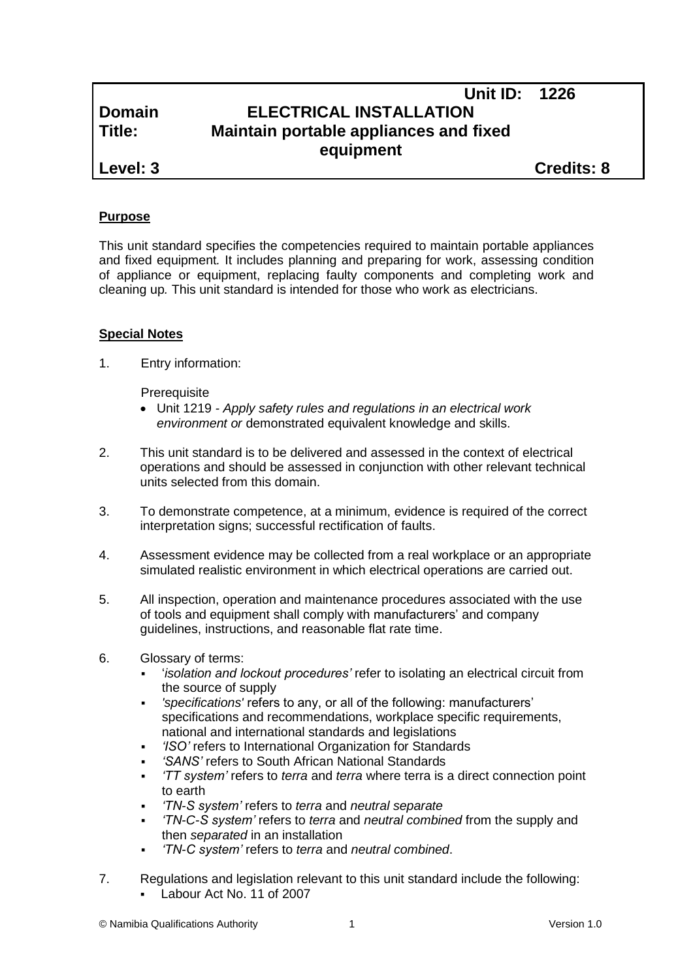# **Unit ID: 1226 Domain ELECTRICAL INSTALLATION Title: Maintain portable appliances and fixed equipment**

**Level: 3 Credits: 8**

# **Purpose**

This unit standard specifies the competencies required to maintain portable appliances and fixed equipment*.* It includes planning and preparing for work, assessing condition of appliance or equipment, replacing faulty components and completing work and cleaning up*.* This unit standard is intended for those who work as electricians.

## **Special Notes**

1. Entry information:

**Prerequisite** 

- Unit 1219 *- Apply safety rules and regulations in an electrical work environment or* demonstrated equivalent knowledge and skills.
- 2. This unit standard is to be delivered and assessed in the context of electrical operations and should be assessed in conjunction with other relevant technical units selected from this domain.
- 3. To demonstrate competence, at a minimum, evidence is required of the correct interpretation signs; successful rectification of faults.
- 4. Assessment evidence may be collected from a real workplace or an appropriate simulated realistic environment in which electrical operations are carried out.
- 5. All inspection, operation and maintenance procedures associated with the use of tools and equipment shall comply with manufacturers' and company guidelines, instructions, and reasonable flat rate time.
- 6. Glossary of terms:
	- '*isolation and lockout procedures'* refer to isolating an electrical circuit from the source of supply
	- *'specifications'* refers to any, or all of the following: manufacturers' specifications and recommendations, workplace specific requirements, national and international standards and legislations
	- *'ISO'* refers to International Organization for Standards
	- *'SANS'* refers to South African National Standards
	- *'TT system'* refers to *terra* and *terra* where terra is a direct connection point to earth
	- *'TN-S system'* refers to *terra* and *neutral separate*
	- *'TN-C-S system'* refers to *terra* and *neutral combined* from the supply and then *separated* in an installation
	- *'TN-C system'* refers to *terra* and *neutral combined*.
- 7. Regulations and legislation relevant to this unit standard include the following: Labour Act No. 11 of 2007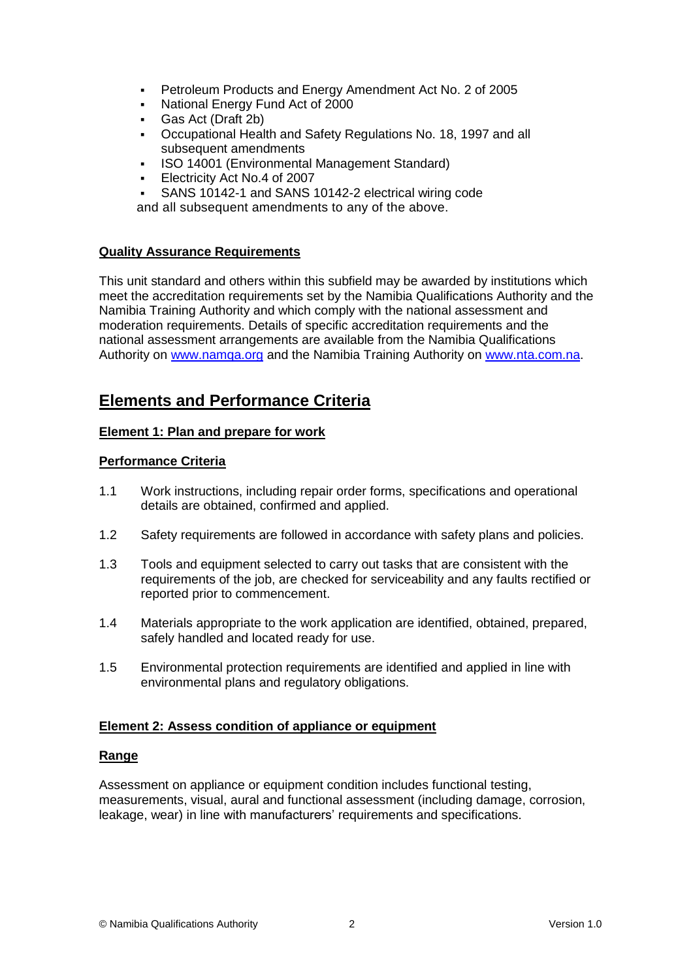- Petroleum Products and Energy Amendment Act No. 2 of 2005
- National Energy Fund Act of 2000
- Gas Act (Draft 2b)
- Occupational Health and Safety Regulations No. 18, 1997 and all subsequent amendments
- **ISO 14001 (Environmental Management Standard)**
- Electricity Act No.4 of 2007
- SANS 10142-1 and SANS 10142-2 electrical wiring code

and all subsequent amendments to any of the above.

## **Quality Assurance Requirements**

This unit standard and others within this subfield may be awarded by institutions which meet the accreditation requirements set by the Namibia Qualifications Authority and the Namibia Training Authority and which comply with the national assessment and moderation requirements. Details of specific accreditation requirements and the national assessment arrangements are available from the Namibia Qualifications Authority on [www.namqa.org](http://www.namqa.org/) and the Namibia Training Authority on [www.nta.com.na.](http://www.nta.com.na/)

# **Elements and Performance Criteria**

## **Element 1: Plan and prepare for work**

#### **Performance Criteria**

- 1.1 Work instructions, including repair order forms, specifications and operational details are obtained, confirmed and applied.
- 1.2 Safety requirements are followed in accordance with safety plans and policies.
- 1.3 Tools and equipment selected to carry out tasks that are consistent with the requirements of the job, are checked for serviceability and any faults rectified or reported prior to commencement.
- 1.4 Materials appropriate to the work application are identified, obtained, prepared, safely handled and located ready for use.
- 1.5 Environmental protection requirements are identified and applied in line with environmental plans and regulatory obligations.

#### **Element 2: Assess condition of appliance or equipment**

#### **Range**

Assessment on appliance or equipment condition includes functional testing, measurements, visual, aural and functional assessment (including damage, corrosion, leakage, wear) in line with manufacturers' requirements and specifications.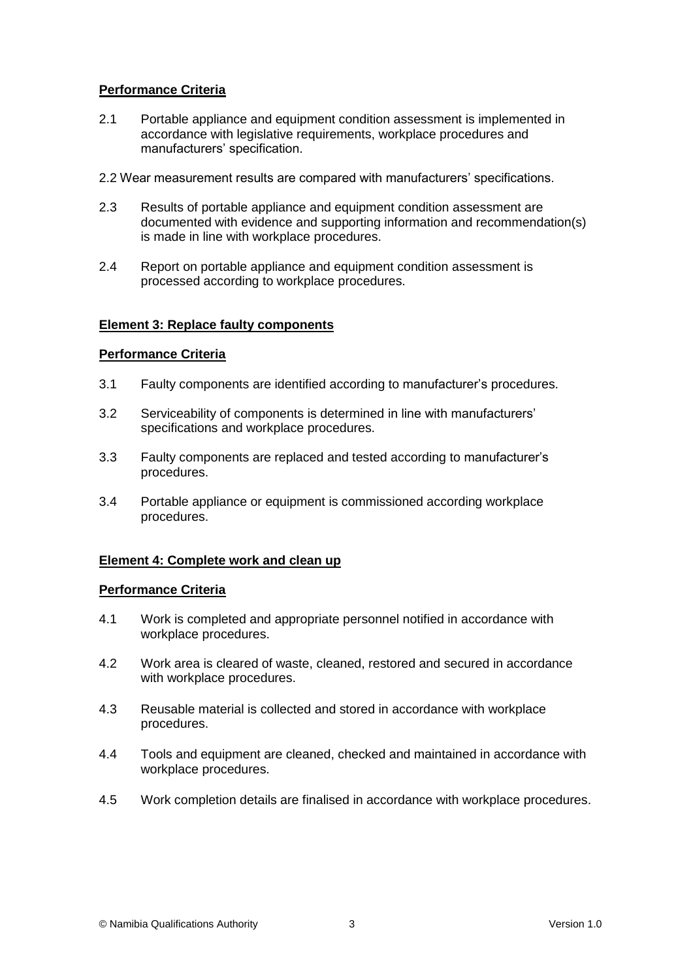# **Performance Criteria**

- 2.1 Portable appliance and equipment condition assessment is implemented in accordance with legislative requirements, workplace procedures and manufacturers' specification.
- 2.2 Wear measurement results are compared with manufacturers' specifications.
- 2.3 Results of portable appliance and equipment condition assessment are documented with evidence and supporting information and recommendation(s) is made in line with workplace procedures.
- 2.4 Report on portable appliance and equipment condition assessment is processed according to workplace procedures.

#### **Element 3: Replace faulty components**

#### **Performance Criteria**

- 3.1 Faulty components are identified according to manufacturer's procedures.
- 3.2 Serviceability of components is determined in line with manufacturers' specifications and workplace procedures.
- 3.3 Faulty components are replaced and tested according to manufacturer's procedures.
- 3.4 Portable appliance or equipment is commissioned according workplace procedures.

#### **Element 4: Complete work and clean up**

#### **Performance Criteria**

- 4.1 Work is completed and appropriate personnel notified in accordance with workplace procedures.
- 4.2 Work area is cleared of waste, cleaned, restored and secured in accordance with workplace procedures.
- 4.3 Reusable material is collected and stored in accordance with workplace procedures.
- 4.4 Tools and equipment are cleaned, checked and maintained in accordance with workplace procedures.
- 4.5 Work completion details are finalised in accordance with workplace procedures.